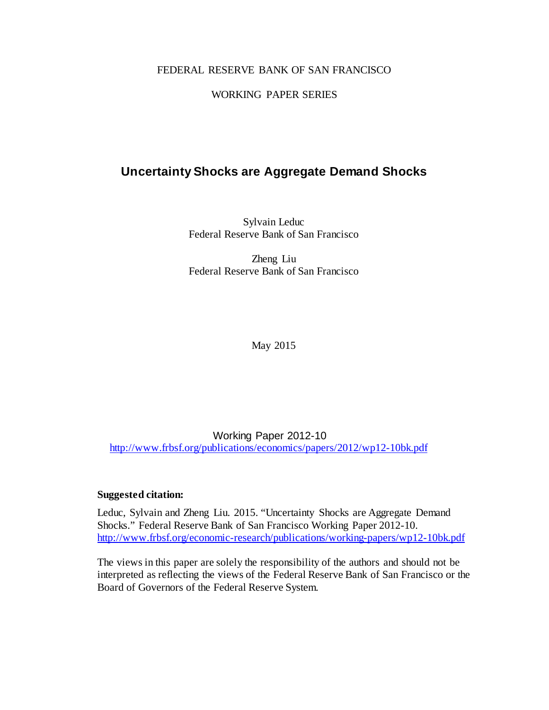# FEDERAL RESERVE BANK OF SAN FRANCISCO

## WORKING PAPER SERIES

# **Uncertainty Shocks are Aggregate Demand Shocks**

Sylvain Leduc Federal Reserve Bank of San Francisco

Zheng Liu Federal Reserve Bank of San Francisco

May 2015

Working Paper 2012-10 <http://www.frbsf.org/publications/economics/papers/2012/wp12-10bk.pdf>

## **Suggested citation:**

Leduc, Sylvain and Zheng Liu. 2015. "Uncertainty Shocks are Aggregate Demand Shocks." Federal Reserve Bank of San Francisco Working Paper 2012-10. <http://www.frbsf.org/economic-research/publications/working-papers/wp12-10bk.pdf>

The views in this paper are solely the responsibility of the authors and should not be interpreted as reflecting the views of the Federal Reserve Bank of San Francisco or the Board of Governors of the Federal Reserve System.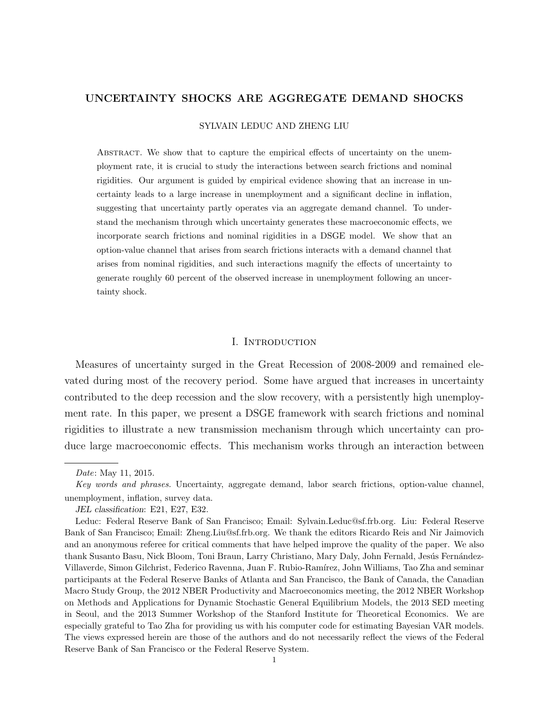## UNCERTAINTY SHOCKS ARE AGGREGATE DEMAND SHOCKS

#### SYLVAIN LEDUC AND ZHENG LIU

Abstract. We show that to capture the empirical effects of uncertainty on the unemployment rate, it is crucial to study the interactions between search frictions and nominal rigidities. Our argument is guided by empirical evidence showing that an increase in uncertainty leads to a large increase in unemployment and a significant decline in inflation, suggesting that uncertainty partly operates via an aggregate demand channel. To understand the mechanism through which uncertainty generates these macroeconomic effects, we incorporate search frictions and nominal rigidities in a DSGE model. We show that an option-value channel that arises from search frictions interacts with a demand channel that arises from nominal rigidities, and such interactions magnify the effects of uncertainty to generate roughly 60 percent of the observed increase in unemployment following an uncertainty shock.

## I. INTRODUCTION

Measures of uncertainty surged in the Great Recession of 2008-2009 and remained elevated during most of the recovery period. Some have argued that increases in uncertainty contributed to the deep recession and the slow recovery, with a persistently high unemployment rate. In this paper, we present a DSGE framework with search frictions and nominal rigidities to illustrate a new transmission mechanism through which uncertainty can produce large macroeconomic effects. This mechanism works through an interaction between

Date: May 11, 2015.

Key words and phrases. Uncertainty, aggregate demand, labor search frictions, option-value channel, unemployment, inflation, survey data.

JEL classification: E21, E27, E32.

Leduc: Federal Reserve Bank of San Francisco; Email: Sylvain.Leduc@sf.frb.org. Liu: Federal Reserve Bank of San Francisco; Email: Zheng.Liu@sf.frb.org. We thank the editors Ricardo Reis and Nir Jaimovich and an anonymous referee for critical comments that have helped improve the quality of the paper. We also thank Susanto Basu, Nick Bloom, Toni Braun, Larry Christiano, Mary Daly, John Fernald, Jesús Fernández-Villaverde, Simon Gilchrist, Federico Ravenna, Juan F. Rubio-Ram´ırez, John Williams, Tao Zha and seminar participants at the Federal Reserve Banks of Atlanta and San Francisco, the Bank of Canada, the Canadian Macro Study Group, the 2012 NBER Productivity and Macroeconomics meeting, the 2012 NBER Workshop on Methods and Applications for Dynamic Stochastic General Equilibrium Models, the 2013 SED meeting in Seoul, and the 2013 Summer Workshop of the Stanford Institute for Theoretical Economics. We are especially grateful to Tao Zha for providing us with his computer code for estimating Bayesian VAR models. The views expressed herein are those of the authors and do not necessarily reflect the views of the Federal Reserve Bank of San Francisco or the Federal Reserve System.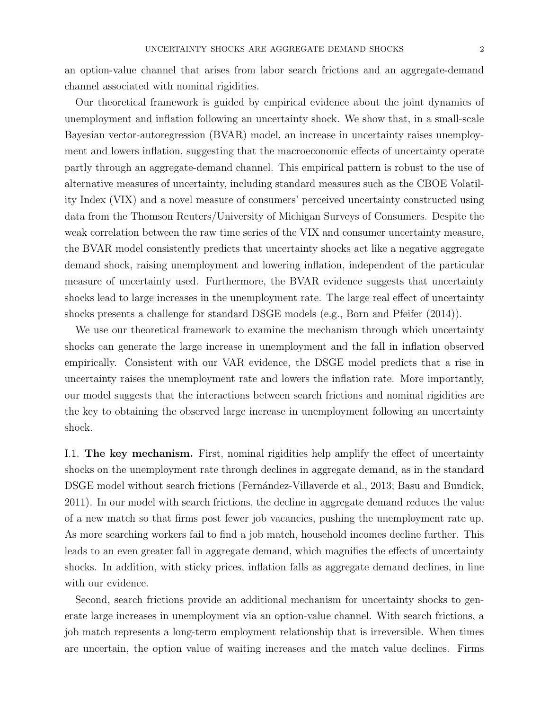an option-value channel that arises from labor search frictions and an aggregate-demand channel associated with nominal rigidities.

Our theoretical framework is guided by empirical evidence about the joint dynamics of unemployment and inflation following an uncertainty shock. We show that, in a small-scale Bayesian vector-autoregression (BVAR) model, an increase in uncertainty raises unemployment and lowers inflation, suggesting that the macroeconomic effects of uncertainty operate partly through an aggregate-demand channel. This empirical pattern is robust to the use of alternative measures of uncertainty, including standard measures such as the CBOE Volatility Index (VIX) and a novel measure of consumers' perceived uncertainty constructed using data from the Thomson Reuters/University of Michigan Surveys of Consumers. Despite the weak correlation between the raw time series of the VIX and consumer uncertainty measure, the BVAR model consistently predicts that uncertainty shocks act like a negative aggregate demand shock, raising unemployment and lowering inflation, independent of the particular measure of uncertainty used. Furthermore, the BVAR evidence suggests that uncertainty shocks lead to large increases in the unemployment rate. The large real effect of uncertainty shocks presents a challenge for standard DSGE models (e.g., Born and Pfeifer (2014)).

We use our theoretical framework to examine the mechanism through which uncertainty shocks can generate the large increase in unemployment and the fall in inflation observed empirically. Consistent with our VAR evidence, the DSGE model predicts that a rise in uncertainty raises the unemployment rate and lowers the inflation rate. More importantly, our model suggests that the interactions between search frictions and nominal rigidities are the key to obtaining the observed large increase in unemployment following an uncertainty shock.

I.1. The key mechanism. First, nominal rigidities help amplify the effect of uncertainty shocks on the unemployment rate through declines in aggregate demand, as in the standard DSGE model without search frictions (Fernández-Villaverde et al., 2013; Basu and Bundick, 2011). In our model with search frictions, the decline in aggregate demand reduces the value of a new match so that firms post fewer job vacancies, pushing the unemployment rate up. As more searching workers fail to find a job match, household incomes decline further. This leads to an even greater fall in aggregate demand, which magnifies the effects of uncertainty shocks. In addition, with sticky prices, inflation falls as aggregate demand declines, in line with our evidence.

Second, search frictions provide an additional mechanism for uncertainty shocks to generate large increases in unemployment via an option-value channel. With search frictions, a job match represents a long-term employment relationship that is irreversible. When times are uncertain, the option value of waiting increases and the match value declines. Firms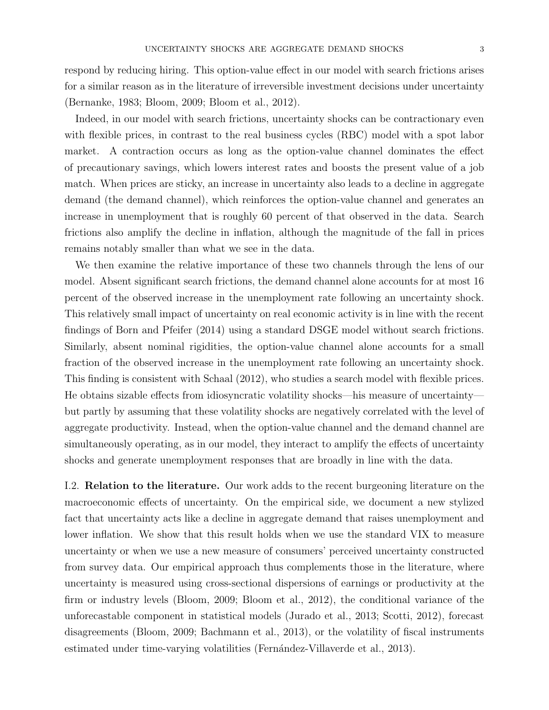respond by reducing hiring. This option-value effect in our model with search frictions arises for a similar reason as in the literature of irreversible investment decisions under uncertainty (Bernanke, 1983; Bloom, 2009; Bloom et al., 2012).

Indeed, in our model with search frictions, uncertainty shocks can be contractionary even with flexible prices, in contrast to the real business cycles (RBC) model with a spot labor market. A contraction occurs as long as the option-value channel dominates the effect of precautionary savings, which lowers interest rates and boosts the present value of a job match. When prices are sticky, an increase in uncertainty also leads to a decline in aggregate demand (the demand channel), which reinforces the option-value channel and generates an increase in unemployment that is roughly 60 percent of that observed in the data. Search frictions also amplify the decline in inflation, although the magnitude of the fall in prices remains notably smaller than what we see in the data.

We then examine the relative importance of these two channels through the lens of our model. Absent significant search frictions, the demand channel alone accounts for at most 16 percent of the observed increase in the unemployment rate following an uncertainty shock. This relatively small impact of uncertainty on real economic activity is in line with the recent findings of Born and Pfeifer (2014) using a standard DSGE model without search frictions. Similarly, absent nominal rigidities, the option-value channel alone accounts for a small fraction of the observed increase in the unemployment rate following an uncertainty shock. This finding is consistent with Schaal (2012), who studies a search model with flexible prices. He obtains sizable effects from idiosyncratic volatility shocks—his measure of uncertainty but partly by assuming that these volatility shocks are negatively correlated with the level of aggregate productivity. Instead, when the option-value channel and the demand channel are simultaneously operating, as in our model, they interact to amplify the effects of uncertainty shocks and generate unemployment responses that are broadly in line with the data.

I.2. Relation to the literature. Our work adds to the recent burgeoning literature on the macroeconomic effects of uncertainty. On the empirical side, we document a new stylized fact that uncertainty acts like a decline in aggregate demand that raises unemployment and lower inflation. We show that this result holds when we use the standard VIX to measure uncertainty or when we use a new measure of consumers' perceived uncertainty constructed from survey data. Our empirical approach thus complements those in the literature, where uncertainty is measured using cross-sectional dispersions of earnings or productivity at the firm or industry levels (Bloom, 2009; Bloom et al., 2012), the conditional variance of the unforecastable component in statistical models (Jurado et al., 2013; Scotti, 2012), forecast disagreements (Bloom, 2009; Bachmann et al., 2013), or the volatility of fiscal instruments estimated under time-varying volatilities (Fernández-Villaverde et al., 2013).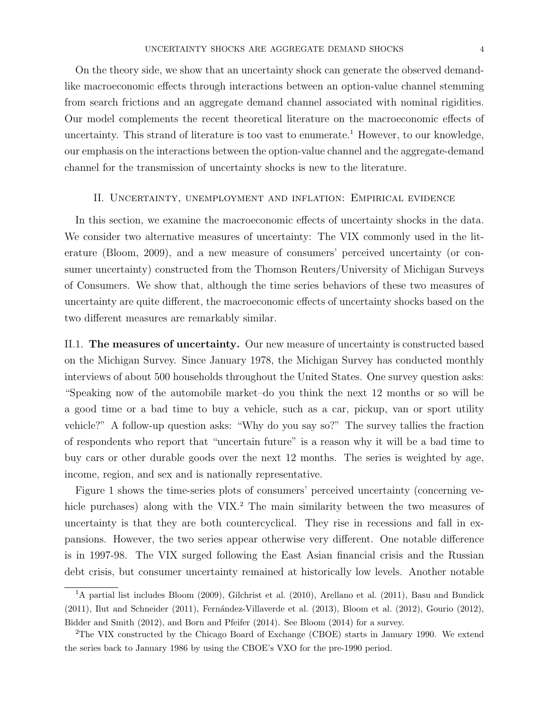On the theory side, we show that an uncertainty shock can generate the observed demandlike macroeconomic effects through interactions between an option-value channel stemming from search frictions and an aggregate demand channel associated with nominal rigidities. Our model complements the recent theoretical literature on the macroeconomic effects of uncertainty. This strand of literature is too vast to enumerate.<sup>1</sup> However, to our knowledge, our emphasis on the interactions between the option-value channel and the aggregate-demand channel for the transmission of uncertainty shocks is new to the literature.

#### II. Uncertainty, unemployment and inflation: Empirical evidence

In this section, we examine the macroeconomic effects of uncertainty shocks in the data. We consider two alternative measures of uncertainty: The VIX commonly used in the literature (Bloom, 2009), and a new measure of consumers' perceived uncertainty (or consumer uncertainty) constructed from the Thomson Reuters/University of Michigan Surveys of Consumers. We show that, although the time series behaviors of these two measures of uncertainty are quite different, the macroeconomic effects of uncertainty shocks based on the two different measures are remarkably similar.

II.1. The measures of uncertainty. Our new measure of uncertainty is constructed based on the Michigan Survey. Since January 1978, the Michigan Survey has conducted monthly interviews of about 500 households throughout the United States. One survey question asks: "Speaking now of the automobile market–do you think the next 12 months or so will be a good time or a bad time to buy a vehicle, such as a car, pickup, van or sport utility vehicle?" A follow-up question asks: "Why do you say so?" The survey tallies the fraction of respondents who report that "uncertain future" is a reason why it will be a bad time to buy cars or other durable goods over the next 12 months. The series is weighted by age, income, region, and sex and is nationally representative.

Figure 1 shows the time-series plots of consumers' perceived uncertainty (concerning vehicle purchases) along with the VIX.<sup>2</sup> The main similarity between the two measures of uncertainty is that they are both countercyclical. They rise in recessions and fall in expansions. However, the two series appear otherwise very different. One notable difference is in 1997-98. The VIX surged following the East Asian financial crisis and the Russian debt crisis, but consumer uncertainty remained at historically low levels. Another notable

<sup>&</sup>lt;sup>1</sup>A partial list includes Bloom (2009), Gilchrist et al. (2010), Arellano et al. (2011), Basu and Bundick  $(2011)$ , Ilut and Schneider  $(2011)$ , Fernández-Villaverde et al.  $(2013)$ , Bloom et al.  $(2012)$ , Gourio  $(2012)$ , Bidder and Smith (2012), and Born and Pfeifer (2014). See Bloom (2014) for a survey.

<sup>2</sup>The VIX constructed by the Chicago Board of Exchange (CBOE) starts in January 1990. We extend the series back to January 1986 by using the CBOE's VXO for the pre-1990 period.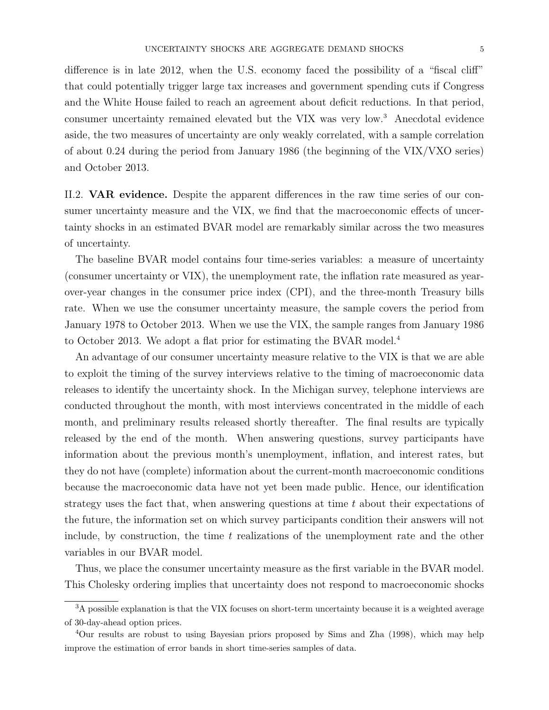difference is in late 2012, when the U.S. economy faced the possibility of a "fiscal cliff" that could potentially trigger large tax increases and government spending cuts if Congress and the White House failed to reach an agreement about deficit reductions. In that period, consumer uncertainty remained elevated but the VIX was very low.<sup>3</sup> Anecdotal evidence aside, the two measures of uncertainty are only weakly correlated, with a sample correlation of about 0.24 during the period from January 1986 (the beginning of the VIX/VXO series) and October 2013.

II.2. VAR evidence. Despite the apparent differences in the raw time series of our consumer uncertainty measure and the VIX, we find that the macroeconomic effects of uncertainty shocks in an estimated BVAR model are remarkably similar across the two measures of uncertainty.

The baseline BVAR model contains four time-series variables: a measure of uncertainty (consumer uncertainty or VIX), the unemployment rate, the inflation rate measured as yearover-year changes in the consumer price index (CPI), and the three-month Treasury bills rate. When we use the consumer uncertainty measure, the sample covers the period from January 1978 to October 2013. When we use the VIX, the sample ranges from January 1986 to October 2013. We adopt a flat prior for estimating the BVAR model.<sup>4</sup>

An advantage of our consumer uncertainty measure relative to the VIX is that we are able to exploit the timing of the survey interviews relative to the timing of macroeconomic data releases to identify the uncertainty shock. In the Michigan survey, telephone interviews are conducted throughout the month, with most interviews concentrated in the middle of each month, and preliminary results released shortly thereafter. The final results are typically released by the end of the month. When answering questions, survey participants have information about the previous month's unemployment, inflation, and interest rates, but they do not have (complete) information about the current-month macroeconomic conditions because the macroeconomic data have not yet been made public. Hence, our identification strategy uses the fact that, when answering questions at time  $t$  about their expectations of the future, the information set on which survey participants condition their answers will not include, by construction, the time  $t$  realizations of the unemployment rate and the other variables in our BVAR model.

Thus, we place the consumer uncertainty measure as the first variable in the BVAR model. This Cholesky ordering implies that uncertainty does not respond to macroeconomic shocks

<sup>&</sup>lt;sup>3</sup>A possible explanation is that the VIX focuses on short-term uncertainty because it is a weighted average of 30-day-ahead option prices.

<sup>4</sup>Our results are robust to using Bayesian priors proposed by Sims and Zha (1998), which may help improve the estimation of error bands in short time-series samples of data.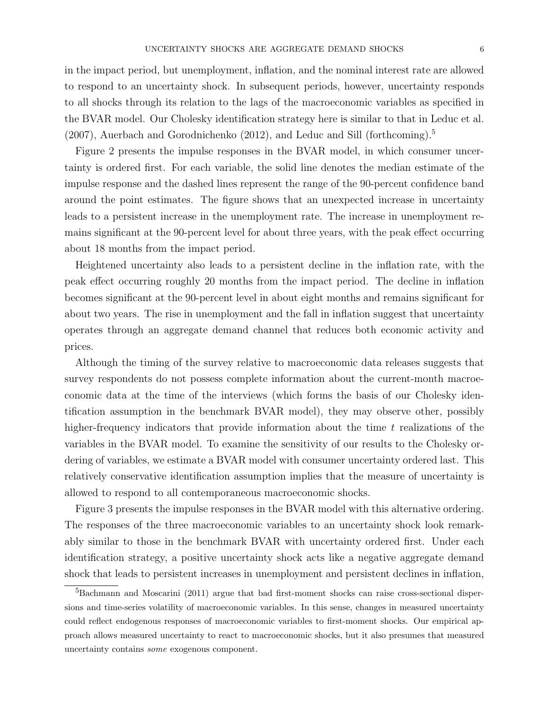in the impact period, but unemployment, inflation, and the nominal interest rate are allowed to respond to an uncertainty shock. In subsequent periods, however, uncertainty responds to all shocks through its relation to the lags of the macroeconomic variables as specified in the BVAR model. Our Cholesky identification strategy here is similar to that in Leduc et al.  $(2007)$ , Auerbach and Gorodnichenko  $(2012)$ , and Leduc and Sill (forthcoming).<sup>5</sup>

Figure 2 presents the impulse responses in the BVAR model, in which consumer uncertainty is ordered first. For each variable, the solid line denotes the median estimate of the impulse response and the dashed lines represent the range of the 90-percent confidence band around the point estimates. The figure shows that an unexpected increase in uncertainty leads to a persistent increase in the unemployment rate. The increase in unemployment remains significant at the 90-percent level for about three years, with the peak effect occurring about 18 months from the impact period.

Heightened uncertainty also leads to a persistent decline in the inflation rate, with the peak effect occurring roughly 20 months from the impact period. The decline in inflation becomes significant at the 90-percent level in about eight months and remains significant for about two years. The rise in unemployment and the fall in inflation suggest that uncertainty operates through an aggregate demand channel that reduces both economic activity and prices.

Although the timing of the survey relative to macroeconomic data releases suggests that survey respondents do not possess complete information about the current-month macroeconomic data at the time of the interviews (which forms the basis of our Cholesky identification assumption in the benchmark BVAR model), they may observe other, possibly higher-frequency indicators that provide information about the time  $t$  realizations of the variables in the BVAR model. To examine the sensitivity of our results to the Cholesky ordering of variables, we estimate a BVAR model with consumer uncertainty ordered last. This relatively conservative identification assumption implies that the measure of uncertainty is allowed to respond to all contemporaneous macroeconomic shocks.

Figure 3 presents the impulse responses in the BVAR model with this alternative ordering. The responses of the three macroeconomic variables to an uncertainty shock look remarkably similar to those in the benchmark BVAR with uncertainty ordered first. Under each identification strategy, a positive uncertainty shock acts like a negative aggregate demand shock that leads to persistent increases in unemployment and persistent declines in inflation,

<sup>&</sup>lt;sup>5</sup>Bachmann and Moscarini (2011) argue that bad first-moment shocks can raise cross-sectional dispersions and time-series volatility of macroeconomic variables. In this sense, changes in measured uncertainty could reflect endogenous responses of macroeconomic variables to first-moment shocks. Our empirical approach allows measured uncertainty to react to macroeconomic shocks, but it also presumes that measured uncertainty contains some exogenous component.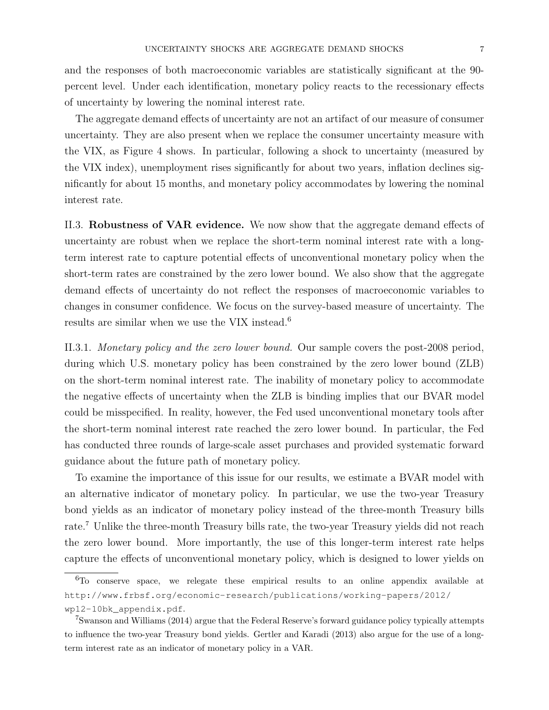and the responses of both macroeconomic variables are statistically significant at the 90 percent level. Under each identification, monetary policy reacts to the recessionary effects of uncertainty by lowering the nominal interest rate.

The aggregate demand effects of uncertainty are not an artifact of our measure of consumer uncertainty. They are also present when we replace the consumer uncertainty measure with the VIX, as Figure 4 shows. In particular, following a shock to uncertainty (measured by the VIX index), unemployment rises significantly for about two years, inflation declines significantly for about 15 months, and monetary policy accommodates by lowering the nominal interest rate.

II.3. Robustness of VAR evidence. We now show that the aggregate demand effects of uncertainty are robust when we replace the short-term nominal interest rate with a longterm interest rate to capture potential effects of unconventional monetary policy when the short-term rates are constrained by the zero lower bound. We also show that the aggregate demand effects of uncertainty do not reflect the responses of macroeconomic variables to changes in consumer confidence. We focus on the survey-based measure of uncertainty. The results are similar when we use the VIX instead.<sup>6</sup>

II.3.1. Monetary policy and the zero lower bound. Our sample covers the post-2008 period, during which U.S. monetary policy has been constrained by the zero lower bound (ZLB) on the short-term nominal interest rate. The inability of monetary policy to accommodate the negative effects of uncertainty when the ZLB is binding implies that our BVAR model could be misspecified. In reality, however, the Fed used unconventional monetary tools after the short-term nominal interest rate reached the zero lower bound. In particular, the Fed has conducted three rounds of large-scale asset purchases and provided systematic forward guidance about the future path of monetary policy.

To examine the importance of this issue for our results, we estimate a BVAR model with an alternative indicator of monetary policy. In particular, we use the two-year Treasury bond yields as an indicator of monetary policy instead of the three-month Treasury bills rate.<sup>7</sup> Unlike the three-month Treasury bills rate, the two-year Treasury yields did not reach the zero lower bound. More importantly, the use of this longer-term interest rate helps capture the effects of unconventional monetary policy, which is designed to lower yields on

<sup>6</sup>To conserve space, we relegate these empirical results to an online appendix available at http://www.frbsf.org/economic-research/publications/working-papers/2012/ wp12-10bk\_appendix.pdf.

<sup>7</sup>Swanson and Williams (2014) argue that the Federal Reserve's forward guidance policy typically attempts to influence the two-year Treasury bond yields. Gertler and Karadi (2013) also argue for the use of a longterm interest rate as an indicator of monetary policy in a VAR.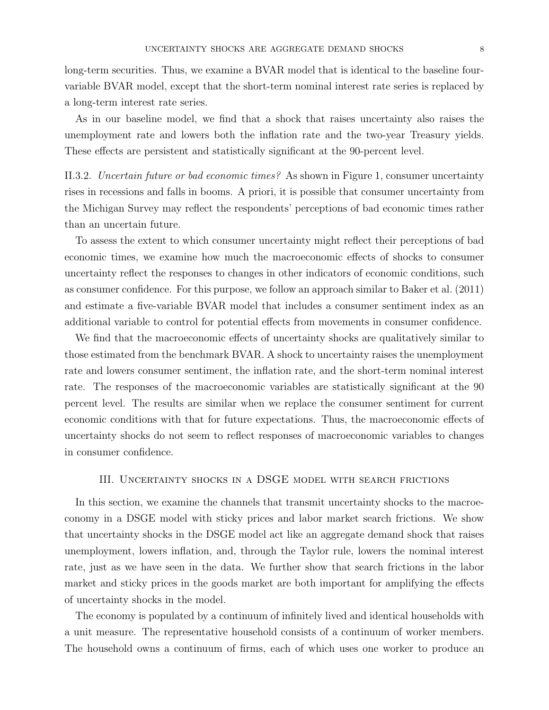long-term securities. Thus, we examine a BVAR model that is identical to the baseline fourvariable BVAR model, except that the short-term nominal interest rate series is replaced by a long-term interest rate series.

As in our baseline model, we find that a shock that raises uncertainty also raises the unemployment rate and lowers both the inflation rate and the two-year Treasury yields. These effects are persistent and statistically significant at the 90-percent level.

II.3.2. Uncertain future or bad economic times? As shown in Figure 1, consumer uncertainty rises in recessions and falls in booms. A priori, it is possible that consumer uncertainty from the Michigan Survey may reflect the respondents' perceptions of bad economic times rather than an uncertain future.

To assess the extent to which consumer uncertainty might reflect their perceptions of bad economic times, we examine how much the macroeconomic effects of shocks to consumer uncertainty reflect the responses to changes in other indicators of economic conditions, such as consumer confidence. For this purpose, we follow an approach similar to Baker et al. (2011) and estimate a five-variable BVAR model that includes a consumer sentiment index as an additional variable to control for potential effects from movements in consumer confidence.

We find that the macroeconomic effects of uncertainty shocks are qualitatively similar to those estimated from the benchmark BVAR. A shock to uncertainty raises the unemployment rate and lowers consumer sentiment, the inflation rate, and the short-term nominal interest rate. The responses of the macroeconomic variables are statistically significant at the 90 percent level. The results are similar when we replace the consumer sentiment for current economic conditions with that for future expectations. Thus, the macroeconomic effects of uncertainty shocks do not seem to reflect responses of macroeconomic variables to changes in consumer confidence.

## III. Uncertainty shocks in a DSGE model with search frictions

In this section, we examine the channels that transmit uncertainty shocks to the macroeconomy in a DSGE model with sticky prices and labor market search frictions. We show that uncertainty shocks in the DSGE model act like an aggregate demand shock that raises unemployment, lowers inflation, and, through the Taylor rule, lowers the nominal interest rate, just as we have seen in the data. We further show that search frictions in the labor market and sticky prices in the goods market are both important for amplifying the effects of uncertainty shocks in the model.

The economy is populated by a continuum of infinitely lived and identical households with a unit measure. The representative household consists of a continuum of worker members. The household owns a continuum of firms, each of which uses one worker to produce an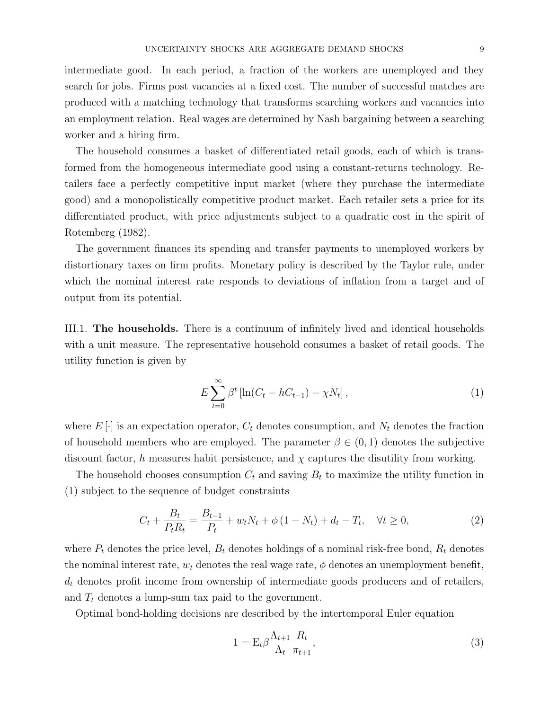intermediate good. In each period, a fraction of the workers are unemployed and they search for jobs. Firms post vacancies at a fixed cost. The number of successful matches are produced with a matching technology that transforms searching workers and vacancies into an employment relation. Real wages are determined by Nash bargaining between a searching worker and a hiring firm.

The household consumes a basket of differentiated retail goods, each of which is transformed from the homogeneous intermediate good using a constant-returns technology. Retailers face a perfectly competitive input market (where they purchase the intermediate good) and a monopolistically competitive product market. Each retailer sets a price for its differentiated product, with price adjustments subject to a quadratic cost in the spirit of Rotemberg (1982).

The government finances its spending and transfer payments to unemployed workers by distortionary taxes on firm profits. Monetary policy is described by the Taylor rule, under which the nominal interest rate responds to deviations of inflation from a target and of output from its potential.

III.1. The households. There is a continuum of infinitely lived and identical households with a unit measure. The representative household consumes a basket of retail goods. The utility function is given by

$$
E\sum_{t=0}^{\infty} \beta^t \left[ \ln(C_t - hC_{t-1}) - \chi N_t \right],\tag{1}
$$

where  $E[\cdot]$  is an expectation operator,  $C_t$  denotes consumption, and  $N_t$  denotes the fraction of household members who are employed. The parameter  $\beta \in (0,1)$  denotes the subjective discount factor, h measures habit persistence, and  $\chi$  captures the disutility from working.

The household chooses consumption  $C_t$  and saving  $B_t$  to maximize the utility function in (1) subject to the sequence of budget constraints

$$
C_t + \frac{B_t}{P_t R_t} = \frac{B_{t-1}}{P_t} + w_t N_t + \phi (1 - N_t) + d_t - T_t, \quad \forall t \ge 0,
$$
\n(2)

where  $P_t$  denotes the price level,  $B_t$  denotes holdings of a nominal risk-free bond,  $R_t$  denotes the nominal interest rate,  $w_t$  denotes the real wage rate,  $\phi$  denotes an unemployment benefit,  $d_t$  denotes profit income from ownership of intermediate goods producers and of retailers, and  $T_t$  denotes a lump-sum tax paid to the government.

Optimal bond-holding decisions are described by the intertemporal Euler equation

$$
1 = \mathcal{E}_t \beta \frac{\Lambda_{t+1}}{\Lambda_t} \frac{R_t}{\pi_{t+1}},\tag{3}
$$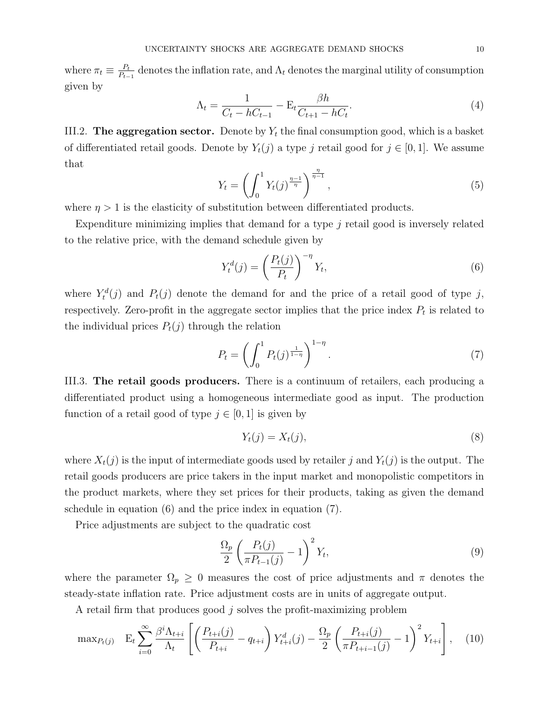where  $\pi_t \equiv \frac{P_t}{P_t}$  $\frac{P_t}{P_{t-1}}$  denotes the inflation rate, and  $\Lambda_t$  denotes the marginal utility of consumption given by

$$
\Lambda_t = \frac{1}{C_t - hC_{t-1}} - \mathcal{E}_t \frac{\beta h}{C_{t+1} - hC_t}.\tag{4}
$$

III.2. The aggregation sector. Denote by  $Y_t$  the final consumption good, which is a basket of differentiated retail goods. Denote by  $Y_t(j)$  a type j retail good for  $j \in [0,1]$ . We assume that

$$
Y_t = \left(\int_0^1 Y_t(j)^{\frac{\eta - 1}{\eta}}\right)^{\frac{\eta}{\eta - 1}},\tag{5}
$$

where  $\eta > 1$  is the elasticity of substitution between differentiated products.

Expenditure minimizing implies that demand for a type  $j$  retail good is inversely related to the relative price, with the demand schedule given by

$$
Y_t^d(j) = \left(\frac{P_t(j)}{P_t}\right)^{-\eta} Y_t,\tag{6}
$$

where  $Y_t^d(j)$  and  $P_t(j)$  denote the demand for and the price of a retail good of type j, respectively. Zero-profit in the aggregate sector implies that the price index  $P_t$  is related to the individual prices  $P_t(j)$  through the relation

$$
P_t = \left(\int_0^1 P_t(j)^{\frac{1}{1-\eta}}\right)^{1-\eta}.\tag{7}
$$

III.3. The retail goods producers. There is a continuum of retailers, each producing a differentiated product using a homogeneous intermediate good as input. The production function of a retail good of type  $j \in [0, 1]$  is given by

$$
Y_t(j) = X_t(j),\tag{8}
$$

where  $X_t(j)$  is the input of intermediate goods used by retailer j and  $Y_t(j)$  is the output. The retail goods producers are price takers in the input market and monopolistic competitors in the product markets, where they set prices for their products, taking as given the demand schedule in equation (6) and the price index in equation (7).

Price adjustments are subject to the quadratic cost

$$
\frac{\Omega_p}{2} \left( \frac{P_t(j)}{\pi P_{t-1}(j)} - 1 \right)^2 Y_t,\tag{9}
$$

where the parameter  $\Omega_p \geq 0$  measures the cost of price adjustments and  $\pi$  denotes the steady-state inflation rate. Price adjustment costs are in units of aggregate output.

A retail firm that produces good j solves the profit-maximizing problem

$$
\max_{P_{t}(j)} \quad E_{t} \sum_{i=0}^{\infty} \frac{\beta^{i} \Lambda_{t+i}}{\Lambda_{t}} \left[ \left( \frac{P_{t+i}(j)}{P_{t+i}} - q_{t+i} \right) Y_{t+i}^{d}(j) - \frac{\Omega_{p}}{2} \left( \frac{P_{t+i}(j)}{\pi P_{t+i-1}(j)} - 1 \right)^{2} Y_{t+i} \right], \quad (10)
$$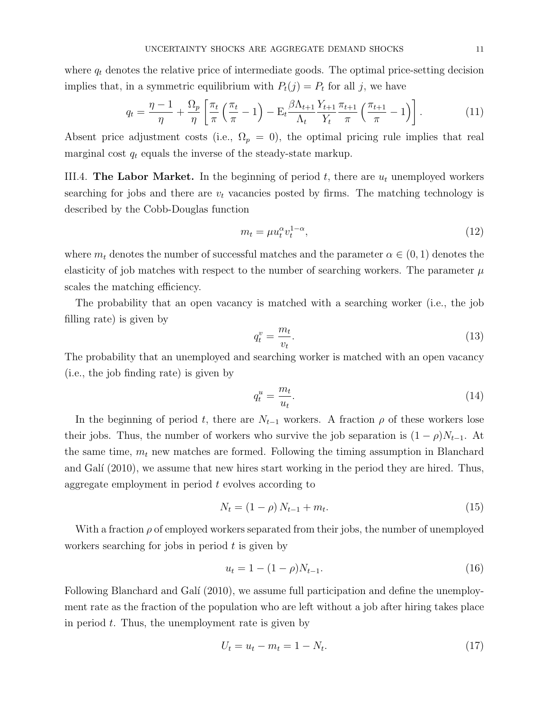$$
q_t = \frac{\eta - 1}{\eta} + \frac{\Omega_p}{\eta} \left[ \frac{\pi_t}{\pi} \left( \frac{\pi_t}{\pi} - 1 \right) - \mathcal{E}_t \frac{\beta \Lambda_{t+1}}{\Lambda_t} \frac{Y_{t+1}}{Y_t} \frac{\pi_{t+1}}{\pi} \left( \frac{\pi_{t+1}}{\pi} - 1 \right) \right]. \tag{11}
$$

Absent price adjustment costs (i.e.,  $\Omega_p = 0$ ), the optimal pricing rule implies that real marginal cost  $q_t$  equals the inverse of the steady-state markup.

III.4. The Labor Market. In the beginning of period  $t$ , there are  $u_t$  unemployed workers searching for jobs and there are  $v_t$  vacancies posted by firms. The matching technology is described by the Cobb-Douglas function

$$
m_t = \mu u_t^{\alpha} v_t^{1-\alpha},\tag{12}
$$

where  $m_t$  denotes the number of successful matches and the parameter  $\alpha \in (0,1)$  denotes the elasticity of job matches with respect to the number of searching workers. The parameter  $\mu$ scales the matching efficiency.

The probability that an open vacancy is matched with a searching worker (i.e., the job filling rate) is given by

$$
q_t^v = \frac{m_t}{v_t}.\tag{13}
$$

The probability that an unemployed and searching worker is matched with an open vacancy (i.e., the job finding rate) is given by

$$
q_t^u = \frac{m_t}{u_t}.\tag{14}
$$

In the beginning of period t, there are  $N_{t-1}$  workers. A fraction  $\rho$  of these workers lose their jobs. Thus, the number of workers who survive the job separation is  $(1 - \rho)N_{t-1}$ . At the same time,  $m_t$  new matches are formed. Following the timing assumption in Blanchard and Gali (2010), we assume that new hires start working in the period they are hired. Thus, aggregate employment in period t evolves according to

$$
N_t = (1 - \rho) N_{t-1} + m_t. \tag{15}
$$

With a fraction  $\rho$  of employed workers separated from their jobs, the number of unemployed workers searching for jobs in period  $t$  is given by

$$
u_t = 1 - (1 - \rho)N_{t-1}.\tag{16}
$$

Following Blanchard and Galí (2010), we assume full participation and define the unemployment rate as the fraction of the population who are left without a job after hiring takes place in period  $t$ . Thus, the unemployment rate is given by

$$
U_t = u_t - m_t = 1 - N_t. \tag{17}
$$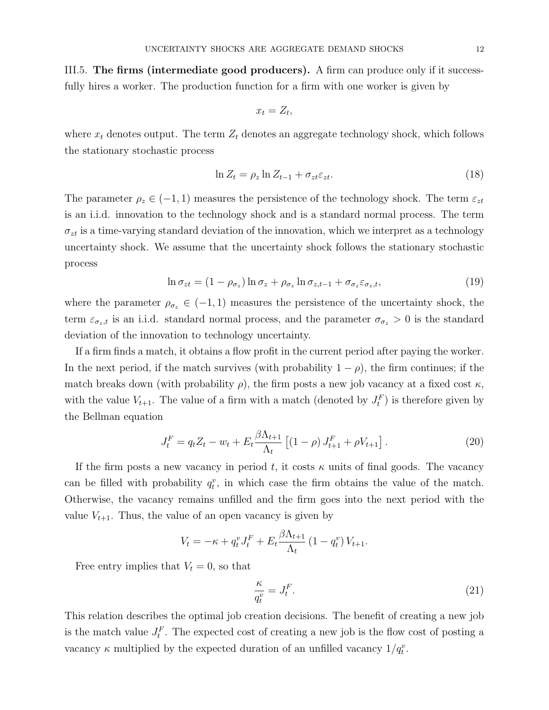III.5. The firms (intermediate good producers). A firm can produce only if it successfully hires a worker. The production function for a firm with one worker is given by

$$
x_t = Z_t,
$$

where  $x_t$  denotes output. The term  $Z_t$  denotes an aggregate technology shock, which follows the stationary stochastic process

$$
\ln Z_t = \rho_z \ln Z_{t-1} + \sigma_{zt} \varepsilon_{zt}.
$$
\n(18)

The parameter  $\rho_z \in (-1,1)$  measures the persistence of the technology shock. The term  $\varepsilon_{zt}$ is an i.i.d. innovation to the technology shock and is a standard normal process. The term  $\sigma_{zt}$  is a time-varying standard deviation of the innovation, which we interpret as a technology uncertainty shock. We assume that the uncertainty shock follows the stationary stochastic process

$$
\ln \sigma_{zt} = (1 - \rho_{\sigma_z}) \ln \sigma_z + \rho_{\sigma_z} \ln \sigma_{z,t-1} + \sigma_{\sigma_z} \varepsilon_{\sigma_z,t},
$$
\n(19)

where the parameter  $\rho_{\sigma_z} \in (-1, 1)$  measures the persistence of the uncertainty shock, the term  $\varepsilon_{\sigma_z,t}$  is an i.i.d. standard normal process, and the parameter  $\sigma_{\sigma_z} > 0$  is the standard deviation of the innovation to technology uncertainty.

If a firm finds a match, it obtains a flow profit in the current period after paying the worker. In the next period, if the match survives (with probability  $1 - \rho$ ), the firm continues; if the match breaks down (with probability  $\rho$ ), the firm posts a new job vacancy at a fixed cost  $\kappa$ , with the value  $V_{t+1}$ . The value of a firm with a match (denoted by  $J_t^F$ ) is therefore given by the Bellman equation

$$
J_t^F = q_t Z_t - w_t + E_t \frac{\beta \Lambda_{t+1}}{\Lambda_t} \left[ (1 - \rho) J_{t+1}^F + \rho V_{t+1} \right]. \tag{20}
$$

If the firm posts a new vacancy in period t, it costs  $\kappa$  units of final goods. The vacancy can be filled with probability  $q_t^v$ , in which case the firm obtains the value of the match. Otherwise, the vacancy remains unfilled and the firm goes into the next period with the value  $V_{t+1}$ . Thus, the value of an open vacancy is given by

$$
V_t = -\kappa + q_t^v J_t^F + E_t \frac{\beta \Lambda_{t+1}}{\Lambda_t} (1 - q_t^v) V_{t+1}.
$$

Free entry implies that  $V_t = 0$ , so that

$$
\frac{\kappa}{q_t^v} = J_t^F. \tag{21}
$$

This relation describes the optimal job creation decisions. The benefit of creating a new job is the match value  $J_t^F$ . The expected cost of creating a new job is the flow cost of posting a vacancy  $\kappa$  multiplied by the expected duration of an unfilled vacancy  $1/q_t^v$ .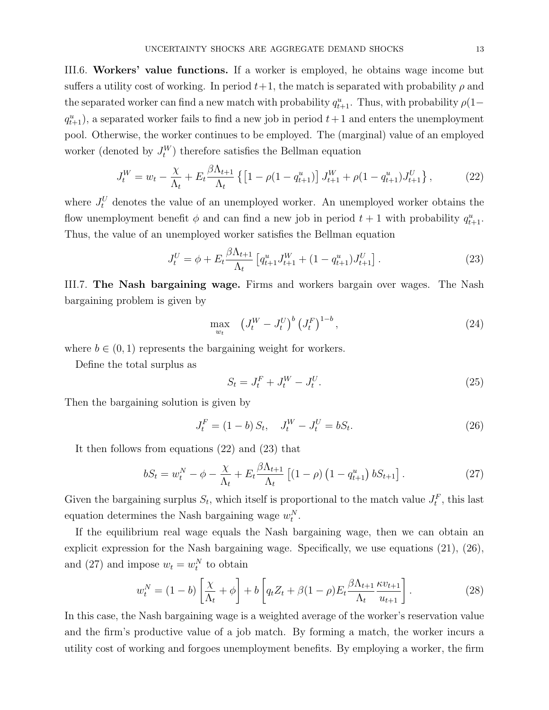III.6. Workers' value functions. If a worker is employed, he obtains wage income but suffers a utility cost of working. In period  $t+1$ , the match is separated with probability  $\rho$  and the separated worker can find a new match with probability  $q_{t+1}^u$ . Thus, with probability  $\rho(1-\$  $q_{t+1}^u$ , a separated worker fails to find a new job in period  $t+1$  and enters the unemployment pool. Otherwise, the worker continues to be employed. The (marginal) value of an employed worker (denoted by  $J_t^W$ ) therefore satisfies the Bellman equation

$$
J_t^W = w_t - \frac{\chi}{\Lambda_t} + E_t \frac{\beta \Lambda_{t+1}}{\Lambda_t} \left\{ \left[ 1 - \rho (1 - q_{t+1}^u) \right] J_{t+1}^W + \rho (1 - q_{t+1}^u) J_{t+1}^U \right\},\tag{22}
$$

where  $J_t^U$  denotes the value of an unemployed worker. An unemployed worker obtains the flow unemployment benefit  $\phi$  and can find a new job in period  $t + 1$  with probability  $q_{t+1}^u$ . Thus, the value of an unemployed worker satisfies the Bellman equation

$$
J_t^U = \phi + E_t \frac{\beta \Lambda_{t+1}}{\Lambda_t} \left[ q_{t+1}^u J_{t+1}^W + (1 - q_{t+1}^u) J_{t+1}^U \right]. \tag{23}
$$

III.7. The Nash bargaining wage. Firms and workers bargain over wages. The Nash bargaining problem is given by

$$
\max_{w_t} \quad (J_t^W - J_t^U)^b (J_t^F)^{1-b}, \tag{24}
$$

where  $b \in (0, 1)$  represents the bargaining weight for workers.

Define the total surplus as

$$
S_t = J_t^F + J_t^W - J_t^U.
$$
\n(25)

Then the bargaining solution is given by

$$
J_t^F = (1 - b) S_t, \quad J_t^W - J_t^U = b S_t.
$$
\n(26)

It then follows from equations (22) and (23) that

$$
bS_t = w_t^N - \phi - \frac{\chi}{\Lambda_t} + E_t \frac{\beta \Lambda_{t+1}}{\Lambda_t} \left[ (1 - \rho) \left( 1 - q_{t+1}^u \right) b S_{t+1} \right]. \tag{27}
$$

Given the bargaining surplus  $S_t$ , which itself is proportional to the match value  $J_t^F$ , this last equation determines the Nash bargaining wage  $w_t^N$ .

If the equilibrium real wage equals the Nash bargaining wage, then we can obtain an explicit expression for the Nash bargaining wage. Specifically, we use equations (21), (26), and (27) and impose  $w_t = w_t^N$  to obtain

$$
w_t^N = (1 - b) \left[ \frac{\chi}{\Lambda_t} + \phi \right] + b \left[ q_t Z_t + \beta (1 - \rho) E_t \frac{\beta \Lambda_{t+1}}{\Lambda_t} \frac{\kappa v_{t+1}}{u_{t+1}} \right]. \tag{28}
$$

In this case, the Nash bargaining wage is a weighted average of the worker's reservation value and the firm's productive value of a job match. By forming a match, the worker incurs a utility cost of working and forgoes unemployment benefits. By employing a worker, the firm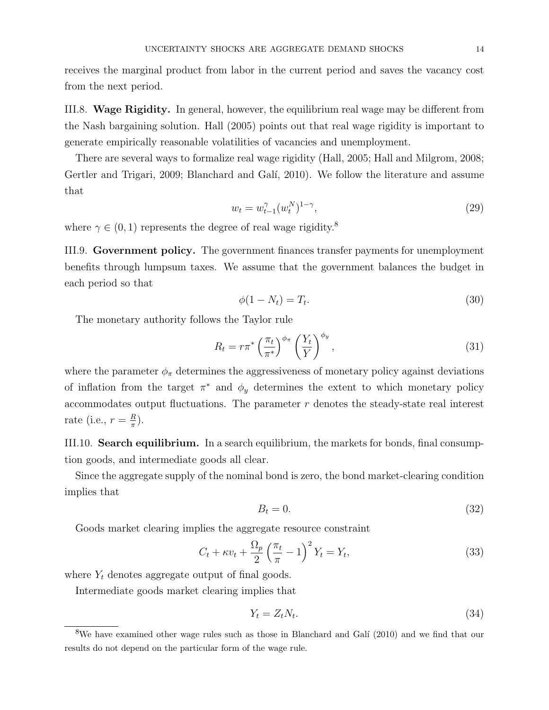receives the marginal product from labor in the current period and saves the vacancy cost from the next period.

III.8. Wage Rigidity. In general, however, the equilibrium real wage may be different from the Nash bargaining solution. Hall (2005) points out that real wage rigidity is important to generate empirically reasonable volatilities of vacancies and unemployment.

There are several ways to formalize real wage rigidity (Hall, 2005; Hall and Milgrom, 2008; Gertler and Trigari, 2009; Blanchard and Galí, 2010). We follow the literature and assume that

$$
w_t = w_{t-1}^{\gamma}(w_t^N)^{1-\gamma},\tag{29}
$$

where  $\gamma \in (0, 1)$  represents the degree of real wage rigidity.<sup>8</sup>

III.9. Government policy. The government finances transfer payments for unemployment benefits through lumpsum taxes. We assume that the government balances the budget in each period so that

$$
\phi(1 - N_t) = T_t. \tag{30}
$$

The monetary authority follows the Taylor rule

$$
R_t = r\pi^* \left(\frac{\pi_t}{\pi^*}\right)^{\phi_\pi} \left(\frac{Y_t}{Y}\right)^{\phi_y},\tag{31}
$$

where the parameter  $\phi_{\pi}$  determines the aggressiveness of monetary policy against deviations of inflation from the target  $\pi^*$  and  $\phi_y$  determines the extent to which monetary policy accommodates output fluctuations. The parameter  $r$  denotes the steady-state real interest rate (i.e.,  $r = \frac{R}{\pi}$  $\frac{R}{\pi}$ ).

III.10. Search equilibrium. In a search equilibrium, the markets for bonds, final consumption goods, and intermediate goods all clear.

Since the aggregate supply of the nominal bond is zero, the bond market-clearing condition implies that

$$
B_t = 0.\t\t(32)
$$

Goods market clearing implies the aggregate resource constraint

$$
C_t + \kappa v_t + \frac{\Omega_p}{2} \left(\frac{\pi_t}{\pi} - 1\right)^2 Y_t = Y_t,\tag{33}
$$

where  $Y_t$  denotes aggregate output of final goods.

Intermediate goods market clearing implies that

$$
Y_t = Z_t N_t. \tag{34}
$$

<sup>&</sup>lt;sup>8</sup>We have examined other wage rules such as those in Blanchard and Galí (2010) and we find that our results do not depend on the particular form of the wage rule.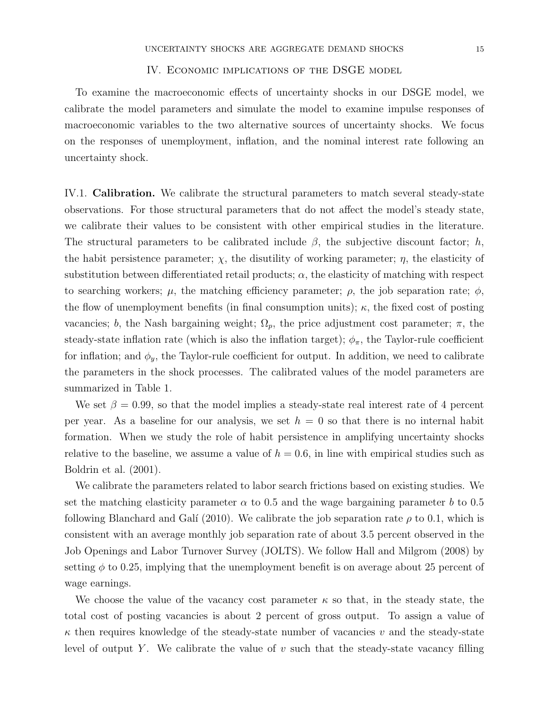#### IV. Economic implications of the DSGE model

To examine the macroeconomic effects of uncertainty shocks in our DSGE model, we calibrate the model parameters and simulate the model to examine impulse responses of macroeconomic variables to the two alternative sources of uncertainty shocks. We focus on the responses of unemployment, inflation, and the nominal interest rate following an uncertainty shock.

IV.1. Calibration. We calibrate the structural parameters to match several steady-state observations. For those structural parameters that do not affect the model's steady state, we calibrate their values to be consistent with other empirical studies in the literature. The structural parameters to be calibrated include  $\beta$ , the subjective discount factor; h, the habit persistence parameter;  $\chi$ , the disutility of working parameter;  $\eta$ , the elasticity of substitution between differentiated retail products;  $\alpha$ , the elasticity of matching with respect to searching workers;  $\mu$ , the matching efficiency parameter;  $\rho$ , the job separation rate;  $\phi$ , the flow of unemployment benefits (in final consumption units);  $\kappa$ , the fixed cost of posting vacancies; b, the Nash bargaining weight;  $\Omega_p$ , the price adjustment cost parameter;  $\pi$ , the steady-state inflation rate (which is also the inflation target);  $\phi_{\pi}$ , the Taylor-rule coefficient for inflation; and  $\phi_y$ , the Taylor-rule coefficient for output. In addition, we need to calibrate the parameters in the shock processes. The calibrated values of the model parameters are summarized in Table 1.

We set  $\beta = 0.99$ , so that the model implies a steady-state real interest rate of 4 percent per year. As a baseline for our analysis, we set  $h = 0$  so that there is no internal habit formation. When we study the role of habit persistence in amplifying uncertainty shocks relative to the baseline, we assume a value of  $h = 0.6$ , in line with empirical studies such as Boldrin et al. (2001).

We calibrate the parameters related to labor search frictions based on existing studies. We set the matching elasticity parameter  $\alpha$  to 0.5 and the wage bargaining parameter b to 0.5 following Blanchard and Galí (2010). We calibrate the job separation rate  $\rho$  to 0.1, which is consistent with an average monthly job separation rate of about 3.5 percent observed in the Job Openings and Labor Turnover Survey (JOLTS). We follow Hall and Milgrom (2008) by setting  $\phi$  to 0.25, implying that the unemployment benefit is on average about 25 percent of wage earnings.

We choose the value of the vacancy cost parameter  $\kappa$  so that, in the steady state, the total cost of posting vacancies is about 2 percent of gross output. To assign a value of  $\kappa$  then requires knowledge of the steady-state number of vacancies v and the steady-state level of output Y. We calibrate the value of  $v$  such that the steady-state vacancy filling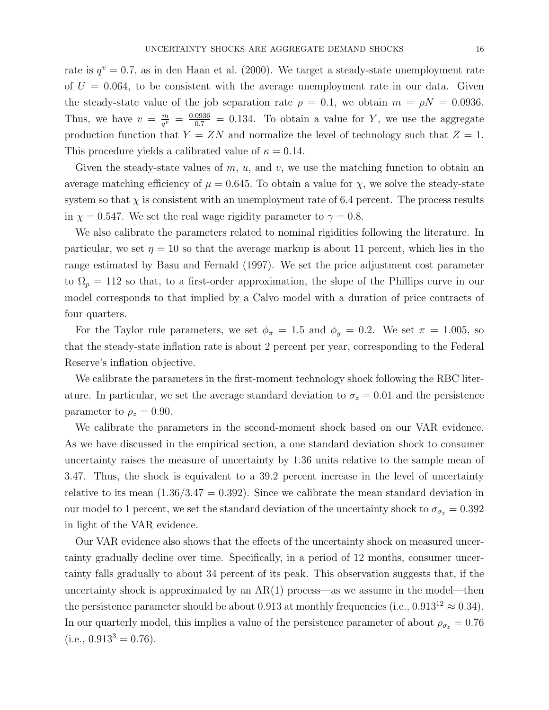rate is  $q^v = 0.7$ , as in den Haan et al. (2000). We target a steady-state unemployment rate of  $U = 0.064$ , to be consistent with the average unemployment rate in our data. Given the steady-state value of the job separation rate  $\rho = 0.1$ , we obtain  $m = \rho N = 0.0936$ . Thus, we have  $v = \frac{m}{a^v}$  $\frac{m}{q^v} = \frac{0.0936}{0.7} = 0.134$ . To obtain a value for Y, we use the aggregate production function that  $Y = ZN$  and normalize the level of technology such that  $Z = 1$ . This procedure yields a calibrated value of  $\kappa = 0.14$ .

Given the steady-state values of  $m$ ,  $u$ , and  $v$ , we use the matching function to obtain an average matching efficiency of  $\mu = 0.645$ . To obtain a value for  $\chi$ , we solve the steady-state system so that  $\chi$  is consistent with an unemployment rate of 6.4 percent. The process results in  $\chi = 0.547$ . We set the real wage rigidity parameter to  $\gamma = 0.8$ .

We also calibrate the parameters related to nominal rigidities following the literature. In particular, we set  $\eta = 10$  so that the average markup is about 11 percent, which lies in the range estimated by Basu and Fernald (1997). We set the price adjustment cost parameter to  $\Omega_p = 112$  so that, to a first-order approximation, the slope of the Phillips curve in our model corresponds to that implied by a Calvo model with a duration of price contracts of four quarters.

For the Taylor rule parameters, we set  $\phi_{\pi} = 1.5$  and  $\phi_{y} = 0.2$ . We set  $\pi = 1.005$ , so that the steady-state inflation rate is about 2 percent per year, corresponding to the Federal Reserve's inflation objective.

We calibrate the parameters in the first-moment technology shock following the RBC literature. In particular, we set the average standard deviation to  $\sigma_z = 0.01$  and the persistence parameter to  $\rho_z = 0.90$ .

We calibrate the parameters in the second-moment shock based on our VAR evidence. As we have discussed in the empirical section, a one standard deviation shock to consumer uncertainty raises the measure of uncertainty by 1.36 units relative to the sample mean of 3.47. Thus, the shock is equivalent to a 39.2 percent increase in the level of uncertainty relative to its mean  $(1.36/3.47 = 0.392)$ . Since we calibrate the mean standard deviation in our model to 1 percent, we set the standard deviation of the uncertainty shock to  $\sigma_{\sigma_z} = 0.392$ in light of the VAR evidence.

Our VAR evidence also shows that the effects of the uncertainty shock on measured uncertainty gradually decline over time. Specifically, in a period of 12 months, consumer uncertainty falls gradually to about 34 percent of its peak. This observation suggests that, if the uncertainty shock is approximated by an  $AR(1)$  process—as we assume in the model—then the persistence parameter should be about 0.913 at monthly frequencies (i.e., 0.913<sup>12</sup>  $\approx$  0.34). In our quarterly model, this implies a value of the persistence parameter of about  $\rho_{\sigma_z} = 0.76$  $(i.e., 0.913<sup>3</sup> = 0.76).$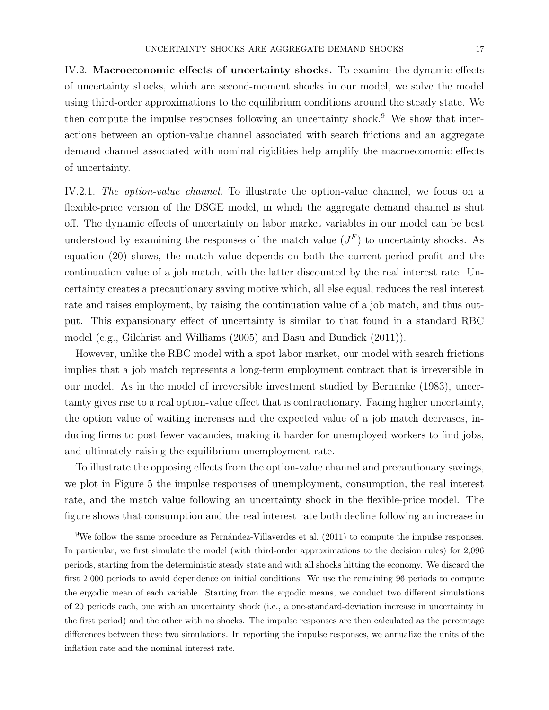IV.2. Macroeconomic effects of uncertainty shocks. To examine the dynamic effects of uncertainty shocks, which are second-moment shocks in our model, we solve the model using third-order approximations to the equilibrium conditions around the steady state. We then compute the impulse responses following an uncertainty shock.<sup>9</sup> We show that interactions between an option-value channel associated with search frictions and an aggregate demand channel associated with nominal rigidities help amplify the macroeconomic effects of uncertainty.

IV.2.1. The option-value channel. To illustrate the option-value channel, we focus on a flexible-price version of the DSGE model, in which the aggregate demand channel is shut off. The dynamic effects of uncertainty on labor market variables in our model can be best understood by examining the responses of the match value  $(J<sup>F</sup>)$  to uncertainty shocks. As equation (20) shows, the match value depends on both the current-period profit and the continuation value of a job match, with the latter discounted by the real interest rate. Uncertainty creates a precautionary saving motive which, all else equal, reduces the real interest rate and raises employment, by raising the continuation value of a job match, and thus output. This expansionary effect of uncertainty is similar to that found in a standard RBC model (e.g., Gilchrist and Williams (2005) and Basu and Bundick (2011)).

However, unlike the RBC model with a spot labor market, our model with search frictions implies that a job match represents a long-term employment contract that is irreversible in our model. As in the model of irreversible investment studied by Bernanke (1983), uncertainty gives rise to a real option-value effect that is contractionary. Facing higher uncertainty, the option value of waiting increases and the expected value of a job match decreases, inducing firms to post fewer vacancies, making it harder for unemployed workers to find jobs, and ultimately raising the equilibrium unemployment rate.

To illustrate the opposing effects from the option-value channel and precautionary savings, we plot in Figure 5 the impulse responses of unemployment, consumption, the real interest rate, and the match value following an uncertainty shock in the flexible-price model. The figure shows that consumption and the real interest rate both decline following an increase in

 $9$ We follow the same procedure as Fernández-Villaverdes et al. (2011) to compute the impulse responses. In particular, we first simulate the model (with third-order approximations to the decision rules) for 2,096 periods, starting from the deterministic steady state and with all shocks hitting the economy. We discard the first 2,000 periods to avoid dependence on initial conditions. We use the remaining 96 periods to compute the ergodic mean of each variable. Starting from the ergodic means, we conduct two different simulations of 20 periods each, one with an uncertainty shock (i.e., a one-standard-deviation increase in uncertainty in the first period) and the other with no shocks. The impulse responses are then calculated as the percentage differences between these two simulations. In reporting the impulse responses, we annualize the units of the inflation rate and the nominal interest rate.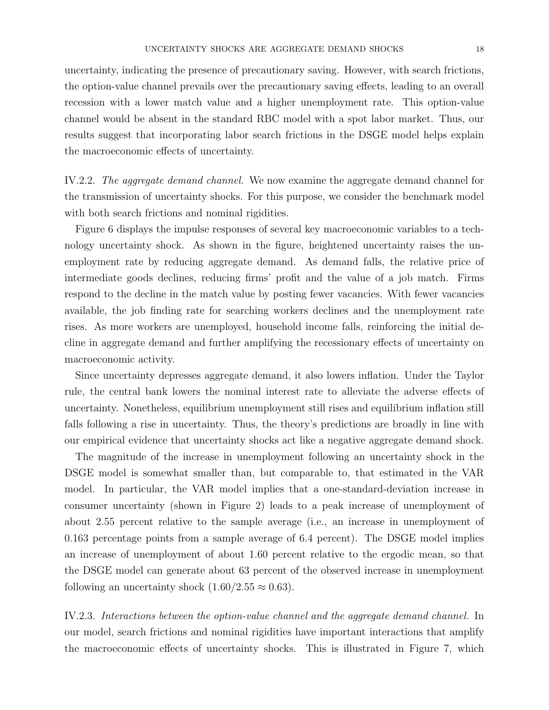uncertainty, indicating the presence of precautionary saving. However, with search frictions, the option-value channel prevails over the precautionary saving effects, leading to an overall recession with a lower match value and a higher unemployment rate. This option-value channel would be absent in the standard RBC model with a spot labor market. Thus, our results suggest that incorporating labor search frictions in the DSGE model helps explain the macroeconomic effects of uncertainty.

IV.2.2. The aggregate demand channel. We now examine the aggregate demand channel for the transmission of uncertainty shocks. For this purpose, we consider the benchmark model with both search frictions and nominal rigidities.

Figure 6 displays the impulse responses of several key macroeconomic variables to a technology uncertainty shock. As shown in the figure, heightened uncertainty raises the unemployment rate by reducing aggregate demand. As demand falls, the relative price of intermediate goods declines, reducing firms' profit and the value of a job match. Firms respond to the decline in the match value by posting fewer vacancies. With fewer vacancies available, the job finding rate for searching workers declines and the unemployment rate rises. As more workers are unemployed, household income falls, reinforcing the initial decline in aggregate demand and further amplifying the recessionary effects of uncertainty on macroeconomic activity.

Since uncertainty depresses aggregate demand, it also lowers inflation. Under the Taylor rule, the central bank lowers the nominal interest rate to alleviate the adverse effects of uncertainty. Nonetheless, equilibrium unemployment still rises and equilibrium inflation still falls following a rise in uncertainty. Thus, the theory's predictions are broadly in line with our empirical evidence that uncertainty shocks act like a negative aggregate demand shock.

The magnitude of the increase in unemployment following an uncertainty shock in the DSGE model is somewhat smaller than, but comparable to, that estimated in the VAR model. In particular, the VAR model implies that a one-standard-deviation increase in consumer uncertainty (shown in Figure 2) leads to a peak increase of unemployment of about 2.55 percent relative to the sample average (i.e., an increase in unemployment of 0.163 percentage points from a sample average of 6.4 percent). The DSGE model implies an increase of unemployment of about 1.60 percent relative to the ergodic mean, so that the DSGE model can generate about 63 percent of the observed increase in unemployment following an uncertainty shock  $(1.60/2.55 \approx 0.63)$ .

IV.2.3. Interactions between the option-value channel and the aggregate demand channel. In our model, search frictions and nominal rigidities have important interactions that amplify the macroeconomic effects of uncertainty shocks. This is illustrated in Figure 7, which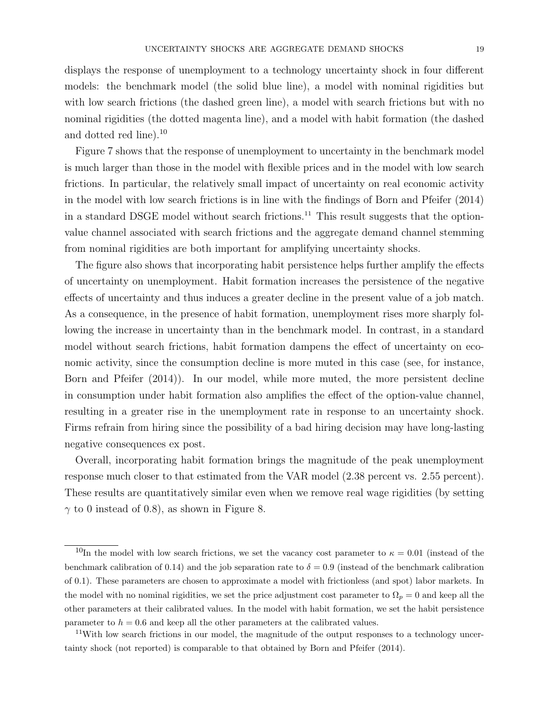displays the response of unemployment to a technology uncertainty shock in four different models: the benchmark model (the solid blue line), a model with nominal rigidities but with low search frictions (the dashed green line), a model with search frictions but with no nominal rigidities (the dotted magenta line), and a model with habit formation (the dashed and dotted red line).<sup>10</sup>

Figure 7 shows that the response of unemployment to uncertainty in the benchmark model is much larger than those in the model with flexible prices and in the model with low search frictions. In particular, the relatively small impact of uncertainty on real economic activity in the model with low search frictions is in line with the findings of Born and Pfeifer (2014) in a standard DSGE model without search frictions.<sup>11</sup> This result suggests that the optionvalue channel associated with search frictions and the aggregate demand channel stemming from nominal rigidities are both important for amplifying uncertainty shocks.

The figure also shows that incorporating habit persistence helps further amplify the effects of uncertainty on unemployment. Habit formation increases the persistence of the negative effects of uncertainty and thus induces a greater decline in the present value of a job match. As a consequence, in the presence of habit formation, unemployment rises more sharply following the increase in uncertainty than in the benchmark model. In contrast, in a standard model without search frictions, habit formation dampens the effect of uncertainty on economic activity, since the consumption decline is more muted in this case (see, for instance, Born and Pfeifer (2014)). In our model, while more muted, the more persistent decline in consumption under habit formation also amplifies the effect of the option-value channel, resulting in a greater rise in the unemployment rate in response to an uncertainty shock. Firms refrain from hiring since the possibility of a bad hiring decision may have long-lasting negative consequences ex post.

Overall, incorporating habit formation brings the magnitude of the peak unemployment response much closer to that estimated from the VAR model (2.38 percent vs. 2.55 percent). These results are quantitatively similar even when we remove real wage rigidities (by setting  $\gamma$  to 0 instead of 0.8), as shown in Figure 8.

<sup>&</sup>lt;sup>10</sup>In the model with low search frictions, we set the vacancy cost parameter to  $\kappa = 0.01$  (instead of the benchmark calibration of 0.14) and the job separation rate to  $\delta = 0.9$  (instead of the benchmark calibration of 0.1). These parameters are chosen to approximate a model with frictionless (and spot) labor markets. In the model with no nominal rigidities, we set the price adjustment cost parameter to  $\Omega_p = 0$  and keep all the other parameters at their calibrated values. In the model with habit formation, we set the habit persistence parameter to  $h = 0.6$  and keep all the other parameters at the calibrated values.

<sup>&</sup>lt;sup>11</sup>With low search frictions in our model, the magnitude of the output responses to a technology uncertainty shock (not reported) is comparable to that obtained by Born and Pfeifer (2014).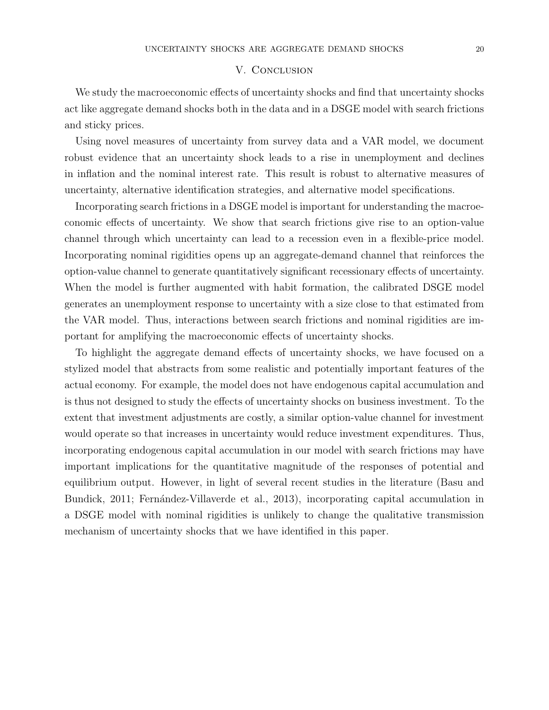## V. CONCLUSION

We study the macroeconomic effects of uncertainty shocks and find that uncertainty shocks act like aggregate demand shocks both in the data and in a DSGE model with search frictions and sticky prices.

Using novel measures of uncertainty from survey data and a VAR model, we document robust evidence that an uncertainty shock leads to a rise in unemployment and declines in inflation and the nominal interest rate. This result is robust to alternative measures of uncertainty, alternative identification strategies, and alternative model specifications.

Incorporating search frictions in a DSGE model is important for understanding the macroeconomic effects of uncertainty. We show that search frictions give rise to an option-value channel through which uncertainty can lead to a recession even in a flexible-price model. Incorporating nominal rigidities opens up an aggregate-demand channel that reinforces the option-value channel to generate quantitatively significant recessionary effects of uncertainty. When the model is further augmented with habit formation, the calibrated DSGE model generates an unemployment response to uncertainty with a size close to that estimated from the VAR model. Thus, interactions between search frictions and nominal rigidities are important for amplifying the macroeconomic effects of uncertainty shocks.

To highlight the aggregate demand effects of uncertainty shocks, we have focused on a stylized model that abstracts from some realistic and potentially important features of the actual economy. For example, the model does not have endogenous capital accumulation and is thus not designed to study the effects of uncertainty shocks on business investment. To the extent that investment adjustments are costly, a similar option-value channel for investment would operate so that increases in uncertainty would reduce investment expenditures. Thus, incorporating endogenous capital accumulation in our model with search frictions may have important implications for the quantitative magnitude of the responses of potential and equilibrium output. However, in light of several recent studies in the literature (Basu and Bundick, 2011; Fernández-Villaverde et al., 2013), incorporating capital accumulation in a DSGE model with nominal rigidities is unlikely to change the qualitative transmission mechanism of uncertainty shocks that we have identified in this paper.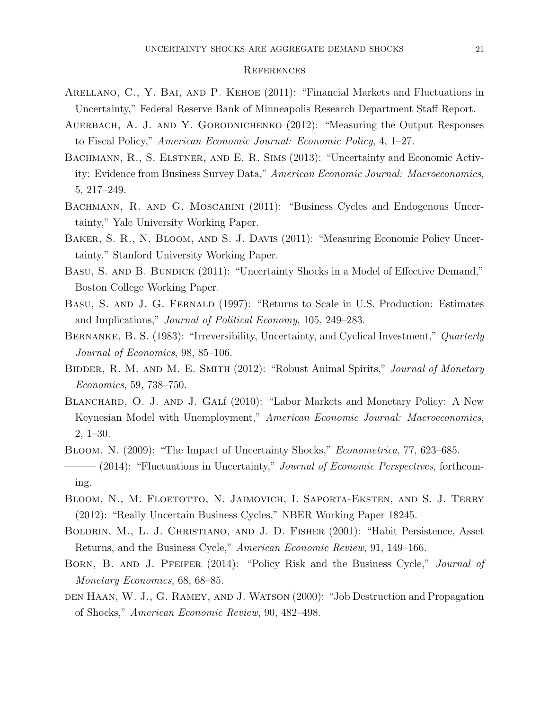#### **REFERENCES**

- Arellano, C., Y. Bai, and P. Kehoe (2011): "Financial Markets and Fluctuations in Uncertainty," Federal Reserve Bank of Minneapolis Research Department Staff Report.
- AUERBACH, A. J. AND Y. GORODNICHENKO (2012): "Measuring the Output Responses to Fiscal Policy," American Economic Journal: Economic Policy, 4, 1–27.
- Bachmann, R., S. Elstner, and E. R. Sims (2013): "Uncertainty and Economic Activity: Evidence from Business Survey Data," American Economic Journal: Macroeconomics, 5, 217–249.
- BACHMANN, R. AND G. MOSCARINI (2011): "Business Cycles and Endogenous Uncertainty," Yale University Working Paper.
- Baker, S. R., N. Bloom, and S. J. Davis (2011): "Measuring Economic Policy Uncertainty," Stanford University Working Paper.
- BASU, S. AND B. BUNDICK (2011): "Uncertainty Shocks in a Model of Effective Demand," Boston College Working Paper.
- Basu, S. and J. G. Fernald (1997): "Returns to Scale in U.S. Production: Estimates and Implications," Journal of Political Economy, 105, 249–283.
- BERNANKE, B. S. (1983): "Irreversibility, Uncertainty, and Cyclical Investment," *Quarterly* Journal of Economics, 98, 85–106.
- BIDDER, R. M. AND M. E. SMITH (2012): "Robust Animal Spirits," Journal of Monetary Economics, 59, 738–750.
- BLANCHARD, O. J. AND J. GALÍ (2010): "Labor Markets and Monetary Policy: A New Keynesian Model with Unemployment," American Economic Journal: Macroeconomics, 2, 1–30.
- Bloom, N. (2009): "The Impact of Uncertainty Shocks," Econometrica, 77, 623–685.  $-$  (2014): "Fluctuations in Uncertainty," *Journal of Economic Perspectives*, forthcoming.
- Bloom, N., M. Floetotto, N. Jaimovich, I. Saporta-Eksten, and S. J. Terry (2012): "Really Uncertain Business Cycles," NBER Working Paper 18245.
- Boldrin, M., L. J. Christiano, and J. D. Fisher (2001): "Habit Persistence, Asset Returns, and the Business Cycle," American Economic Review, 91, 149–166.
- BORN, B. AND J. PFEIFER (2014): "Policy Risk and the Business Cycle," Journal of Monetary Economics, 68, 68–85.
- den Haan, W. J., G. Ramey, and J. Watson (2000): "Job Destruction and Propagation of Shocks," American Economic Review, 90, 482–498.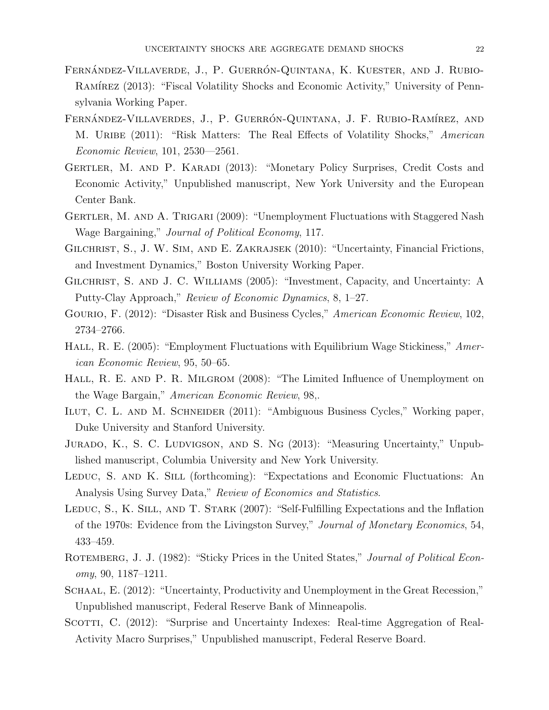- FERNÁNDEZ-VILLAVERDE, J., P. GUERRÓN-QUINTANA, K. KUESTER, AND J. RUBIO-RAMÍREZ (2013): "Fiscal Volatility Shocks and Economic Activity," University of Pennsylvania Working Paper.
- FERNÁNDEZ-VILLAVERDES, J., P. GUERRÓN-QUINTANA, J. F. RUBIO-RAMÍREZ, AND M. URIBE (2011): "Risk Matters: The Real Effects of Volatility Shocks," American Economic Review, 101, 2530—2561.
- Gertler, M. and P. Karadi (2013): "Monetary Policy Surprises, Credit Costs and Economic Activity," Unpublished manuscript, New York University and the European Center Bank.
- GERTLER, M. AND A. TRIGARI (2009): "Unemployment Fluctuations with Staggered Nash Wage Bargaining," Journal of Political Economy, 117.
- GILCHRIST, S., J. W. SIM, AND E. ZAKRAJSEK (2010): "Uncertainty, Financial Frictions, and Investment Dynamics," Boston University Working Paper.
- GILCHRIST, S. AND J. C. WILLIAMS (2005): "Investment, Capacity, and Uncertainty: A Putty-Clay Approach," Review of Economic Dynamics, 8, 1–27.
- Gourio, F. (2012): "Disaster Risk and Business Cycles," American Economic Review, 102, 2734–2766.
- HALL, R. E. (2005): "Employment Fluctuations with Equilibrium Wage Stickiness," American Economic Review, 95, 50–65.
- HALL, R. E. AND P. R. MILGROM (2008): "The Limited Influence of Unemployment on the Wage Bargain," American Economic Review, 98,.
- Ilut, C. L. and M. Schneider (2011): "Ambiguous Business Cycles," Working paper, Duke University and Stanford University.
- Jurado, K., S. C. Ludvigson, and S. Ng (2013): "Measuring Uncertainty," Unpublished manuscript, Columbia University and New York University.
- LEDUC, S. AND K. SILL (forthcoming): "Expectations and Economic Fluctuations: An Analysis Using Survey Data," Review of Economics and Statistics.
- LEDUC, S., K. SILL, AND T. STARK (2007): "Self-Fulfilling Expectations and the Inflation of the 1970s: Evidence from the Livingston Survey," Journal of Monetary Economics, 54, 433–459.
- ROTEMBERG, J. J. (1982): "Sticky Prices in the United States," Journal of Political Econ $omy, 90, 1187-1211.$
- SCHAAL, E. (2012): "Uncertainty, Productivity and Unemployment in the Great Recession," Unpublished manuscript, Federal Reserve Bank of Minneapolis.
- SCOTTI, C. (2012): "Surprise and Uncertainty Indexes: Real-time Aggregation of Real-Activity Macro Surprises," Unpublished manuscript, Federal Reserve Board.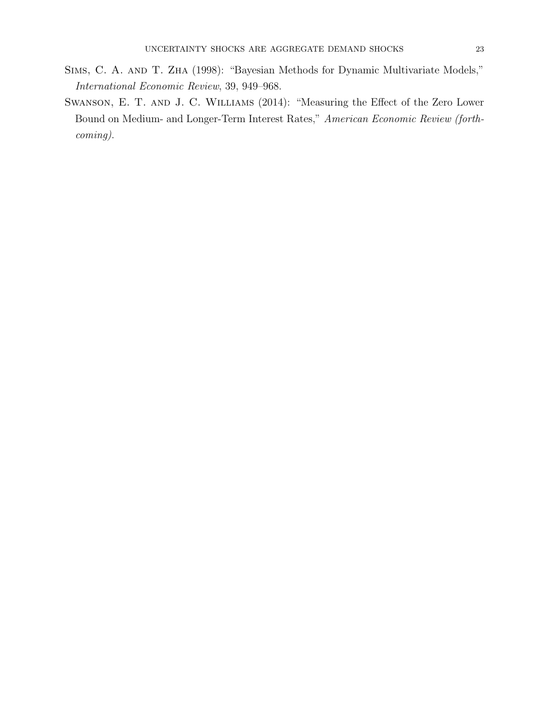- Sims, C. A. and T. Zha (1998): "Bayesian Methods for Dynamic Multivariate Models," International Economic Review, 39, 949–968.
- Swanson, E. T. and J. C. Williams (2014): "Measuring the Effect of the Zero Lower Bound on Medium- and Longer-Term Interest Rates," American Economic Review (forthcoming).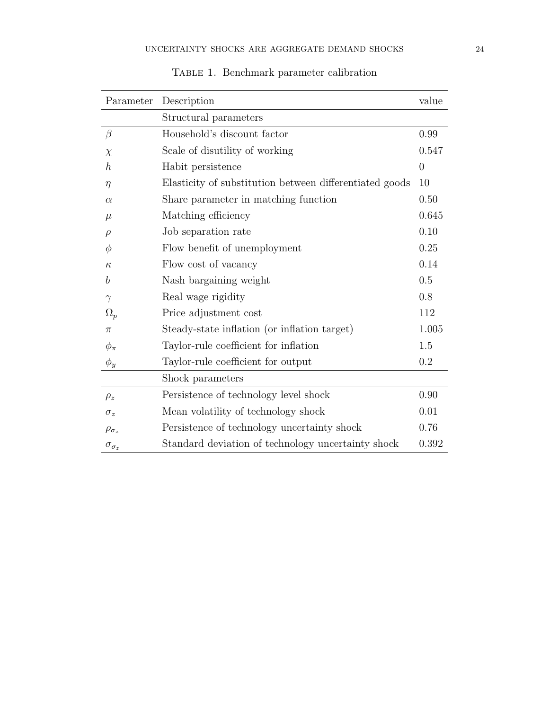| Parameter           | Description                                             | value          |
|---------------------|---------------------------------------------------------|----------------|
|                     | Structural parameters                                   |                |
| $\beta$             | Household's discount factor                             | 0.99           |
| $\chi$              | Scale of disutility of working                          | 0.547          |
| $\hbar$             | Habit persistence                                       | $\overline{0}$ |
| $\eta$              | Elasticity of substitution between differentiated goods | 10             |
| $\alpha$            | Share parameter in matching function                    | 0.50           |
| $\mu$               | Matching efficiency                                     | 0.645          |
| $\rho$              | Job separation rate                                     | 0.10           |
| Φ                   | Flow benefit of unemployment                            | 0.25           |
| $\kappa$            | Flow cost of vacancy                                    | 0.14           |
| b                   | Nash bargaining weight                                  | 0.5            |
| $\gamma$            | Real wage rigidity                                      | 0.8            |
| $\Omega_p$          | Price adjustment cost                                   | 112            |
| $\pi$               | Steady-state inflation (or inflation target)            | 1.005          |
| $\phi_{\pi}$        | Taylor-rule coefficient for inflation                   | 1.5            |
| $\phi_y$            | Taylor-rule coefficient for output                      | 0.2            |
|                     | Shock parameters                                        |                |
| $\rho_z$            | Persistence of technology level shock                   | 0.90           |
| $\sigma_z$          | Mean volatility of technology shock                     | 0.01           |
| $\rho_{\sigma_z}$   | Persistence of technology uncertainty shock             | 0.76           |
| $\sigma_{\sigma_z}$ | Standard deviation of technology uncertainty shock      | 0.392          |

TABLE 1. Benchmark parameter calibration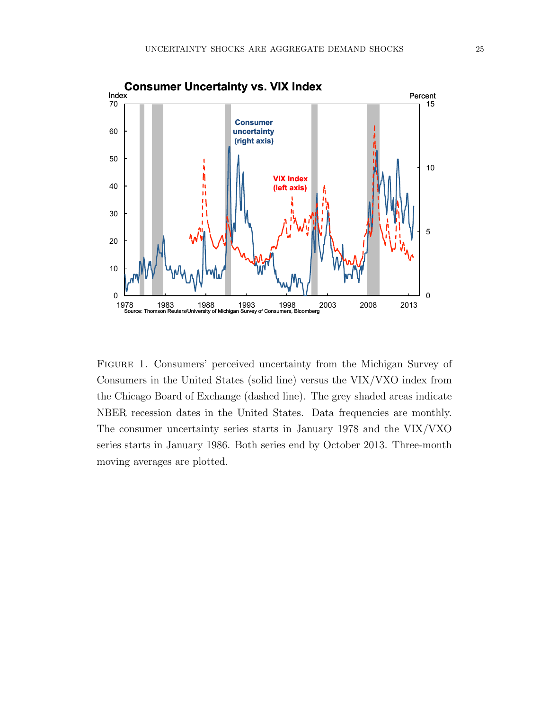

Figure 1. Consumers' perceived uncertainty from the Michigan Survey of Consumers in the United States (solid line) versus the VIX/VXO index from the Chicago Board of Exchange (dashed line). The grey shaded areas indicate NBER recession dates in the United States. Data frequencies are monthly. The consumer uncertainty series starts in January 1978 and the VIX/VXO series starts in January 1986. Both series end by October 2013. Three-month moving averages are plotted.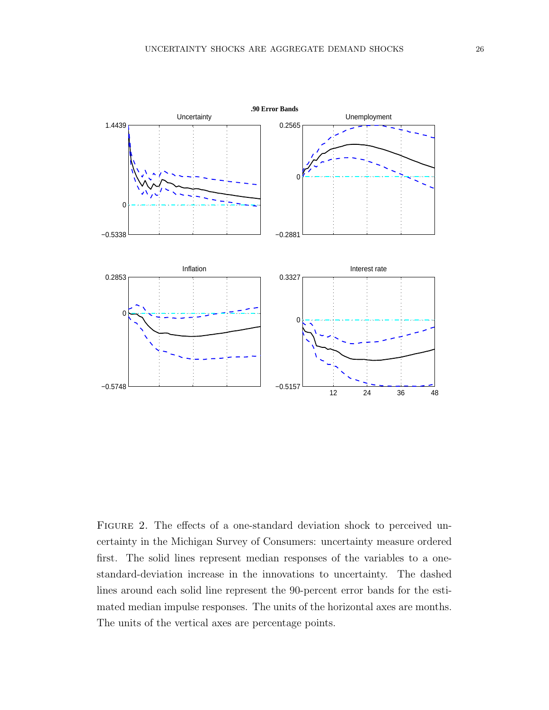

FIGURE 2. The effects of a one-standard deviation shock to perceived uncertainty in the Michigan Survey of Consumers: uncertainty measure ordered first. The solid lines represent median responses of the variables to a onestandard-deviation increase in the innovations to uncertainty. The dashed lines around each solid line represent the 90-percent error bands for the estimated median impulse responses. The units of the horizontal axes are months. The units of the vertical axes are percentage points.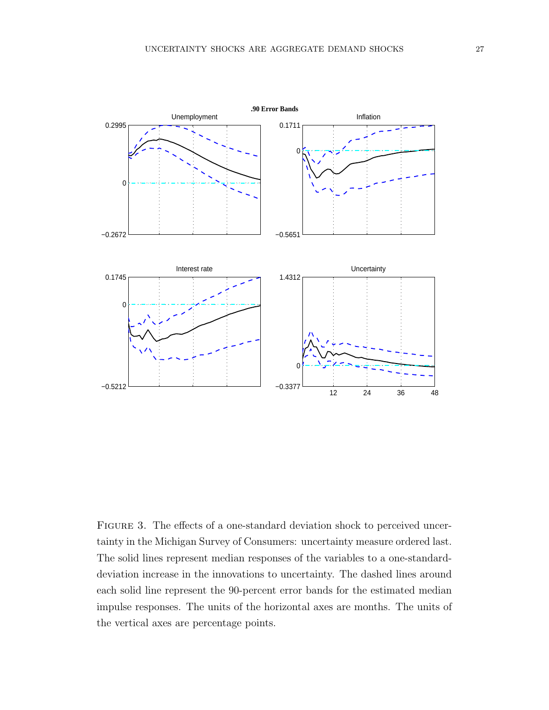

FIGURE 3. The effects of a one-standard deviation shock to perceived uncertainty in the Michigan Survey of Consumers: uncertainty measure ordered last. The solid lines represent median responses of the variables to a one-standarddeviation increase in the innovations to uncertainty. The dashed lines around each solid line represent the 90-percent error bands for the estimated median impulse responses. The units of the horizontal axes are months. The units of the vertical axes are percentage points.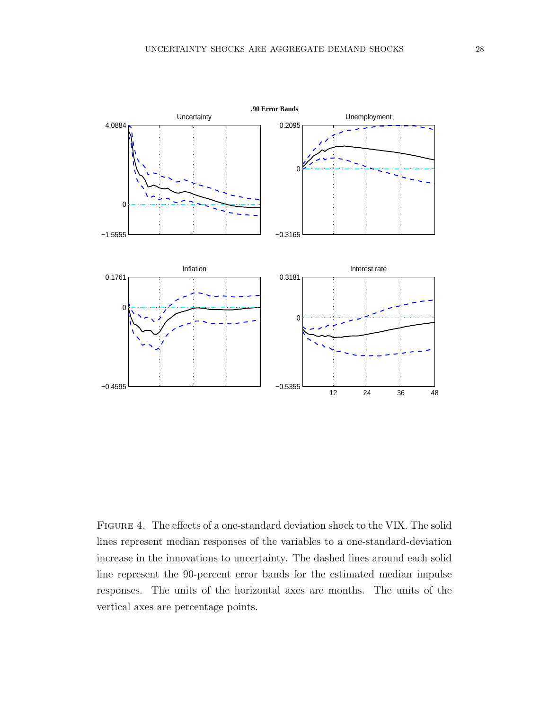

Figure 4. The effects of a one-standard deviation shock to the VIX. The solid lines represent median responses of the variables to a one-standard-deviation increase in the innovations to uncertainty. The dashed lines around each solid line represent the 90-percent error bands for the estimated median impulse responses. The units of the horizontal axes are months. The units of the vertical axes are percentage points.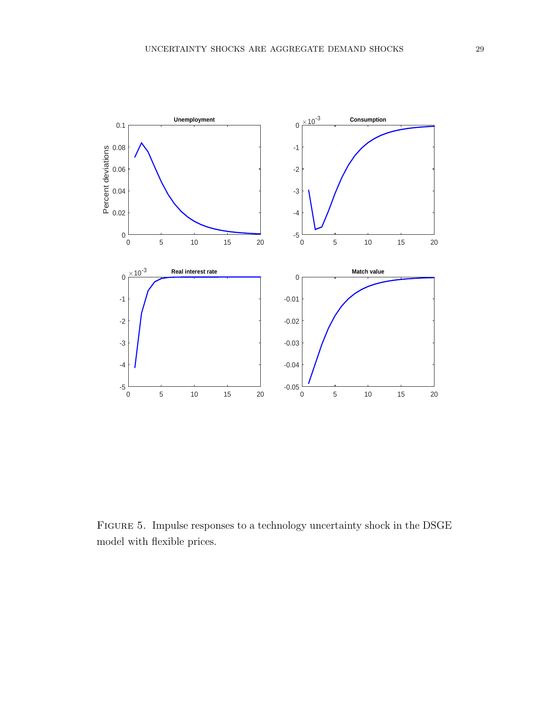

Figure 5. Impulse responses to a technology uncertainty shock in the DSGE model with flexible prices.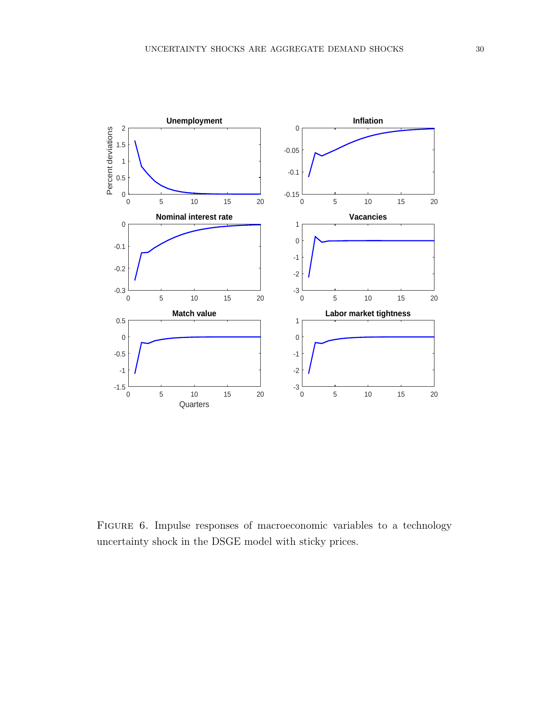

Figure 6. Impulse responses of macroeconomic variables to a technology uncertainty shock in the DSGE model with sticky prices.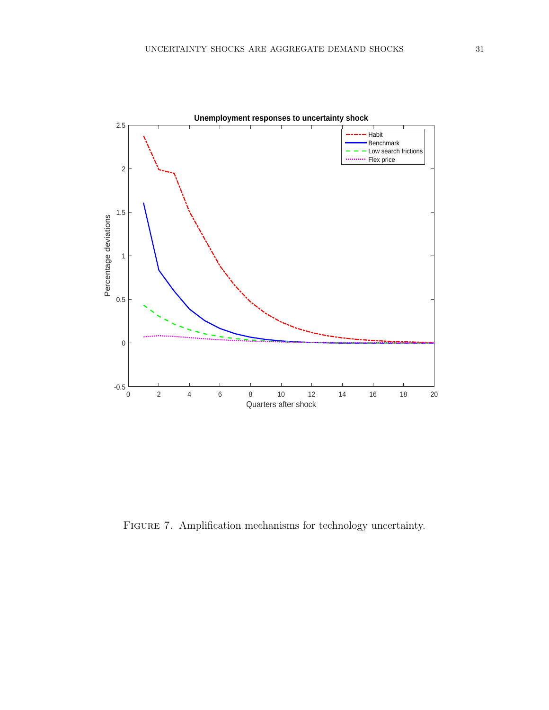

FIGURE 7. Amplification mechanisms for technology uncertainty.